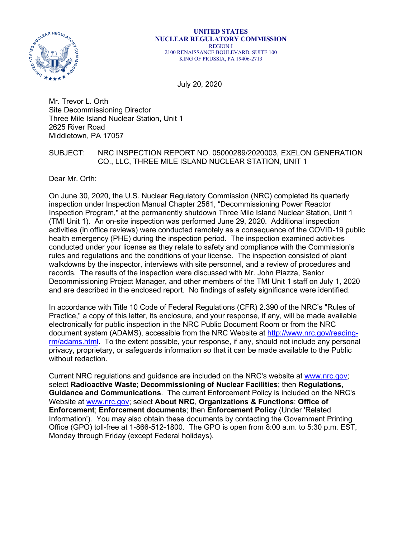

#### **UNITED STATES NUCLEAR REGULATORY COMMISSION** REGION I 2100 RENAISSANCE BOULEVARD, SUITE 100 KING OF PRUSSIA, PA 19406-2713

July 20, 2020

Mr. Trevor L. Orth Site Decommissioning Director Three Mile Island Nuclear Station, Unit 1 2625 River Road Middletown, PA 17057

## SUBJECT: NRC INSPECTION REPORT NO. 05000289/2020003, EXELON GENERATION CO., LLC, THREE MILE ISLAND NUCLEAR STATION, UNIT 1

Dear Mr. Orth:

On June 30, 2020, the U.S. Nuclear Regulatory Commission (NRC) completed its quarterly inspection under Inspection Manual Chapter 2561, "Decommissioning Power Reactor Inspection Program," at the permanently shutdown Three Mile Island Nuclear Station, Unit 1 (TMI Unit 1). An on-site inspection was performed June 29, 2020. Additional inspection activities (in office reviews) were conducted remotely as a consequence of the COVID-19 public health emergency (PHE) during the inspection period. The inspection examined activities conducted under your license as they relate to safety and compliance with the Commission's rules and regulations and the conditions of your license. The inspection consisted of plant walkdowns by the inspector, interviews with site personnel, and a review of procedures and records. The results of the inspection were discussed with Mr. John Piazza, Senior Decommissioning Project Manager, and other members of the TMI Unit 1 staff on July 1, 2020 and are described in the enclosed report. No findings of safety significance were identified.

In accordance with Title 10 Code of Federal Regulations (CFR) 2.390 of the NRC's "Rules of Practice," a copy of this letter, its enclosure, and your response, if any, will be made available electronically for public inspection in the NRC Public Document Room or from the NRC document system (ADAMS), accessible from the NRC Website at [http://www.nrc.gov/reading](http://www.nrc.gov/reading-rm/adams.html)[rm/adams.html.](http://www.nrc.gov/reading-rm/adams.html) To the extent possible, your response, if any, should not include any personal privacy, proprietary, or safeguards information so that it can be made available to the Public without redaction.

Current NRC regulations and guidance are included on the NRC's website at [www.nrc.gov;](http://www.nrc.gov/) select **Radioactive Waste**; **Decommissioning of Nuclear Facilities**; then **Regulations, Guidance and Communications**. The current Enforcement Policy is included on the NRC's Website at [www.nrc.gov;](http://www.nrc.gov/) select **About NRC**, **Organizations & Functions**; **Office of Enforcement**; **Enforcement documents**; then **Enforcement Policy** (Under 'Related Information'). You may also obtain these documents by contacting the Government Printing Office (GPO) toll-free at 1-866-512-1800. The GPO is open from 8:00 a.m. to 5:30 p.m. EST, Monday through Friday (except Federal holidays).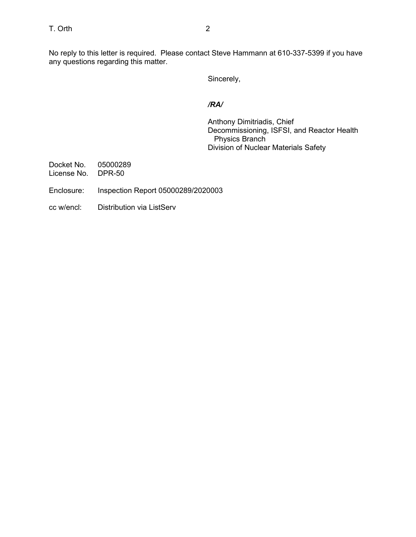No reply to this letter is required. Please contact Steve Hammann at 610-337-5399 if you have any questions regarding this matter.

Sincerely,

## */RA/*

Anthony Dimitriadis, Chief Decommissioning, ISFSI, and Reactor Health Physics Branch Division of Nuclear Materials Safety

Docket No. 05000289 License No. DPR-50

- Enclosure: Inspection Report 05000289/2020003
- cc w/encl: Distribution via ListServ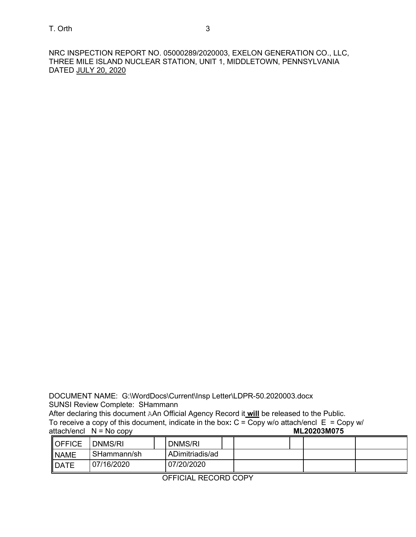NRC INSPECTION REPORT NO. 05000289/2020003, EXELON GENERATION CO., LLC, THREE MILE ISLAND NUCLEAR STATION, UNIT 1, MIDDLETOWN, PENNSYLVANIA DATED JULY 20, 2020

DOCUMENT NAME: G:\WordDocs\Current\Insp Letter\LDPR-50.2020003.docx SUNSI Review Complete: SHammann

After declaring this document AAn Official Agency Record it **will** be released to the Public. To receive a copy of this document, indicate in the box:  $C = Copy$  w/o attach/encl  $E = Copy$  w/ attach/encl  $N = No$  copy attach/encl  $N = No copy$ 

| <b>OFFICE</b> | DNMS/RI     | DNMS/RI         |  |  |
|---------------|-------------|-----------------|--|--|
| <b>NAME</b>   | SHammann/sh | ADimitriadis/ad |  |  |
| <b>IDATE</b>  | 07/16/2020  | 07/20/2020      |  |  |

OFFICIAL RECORD COPY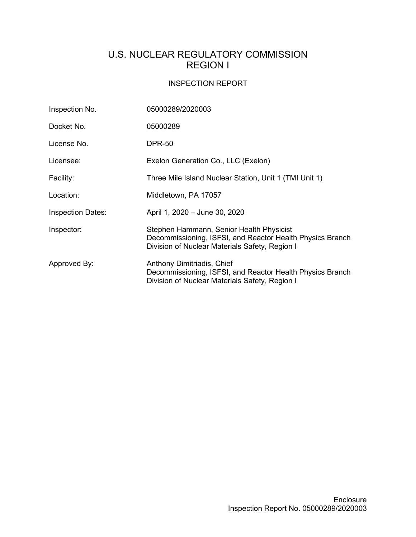# U.S. NUCLEAR REGULATORY COMMISSION REGION I

## INSPECTION REPORT

| Inspection No.           | 05000289/2020003                                                                                                                                        |  |  |  |
|--------------------------|---------------------------------------------------------------------------------------------------------------------------------------------------------|--|--|--|
| Docket No.               | 05000289                                                                                                                                                |  |  |  |
| License No.              | <b>DPR-50</b>                                                                                                                                           |  |  |  |
| Licensee:                | Exelon Generation Co., LLC (Exelon)                                                                                                                     |  |  |  |
| Facility:                | Three Mile Island Nuclear Station, Unit 1 (TMI Unit 1)                                                                                                  |  |  |  |
| Location:                | Middletown, PA 17057                                                                                                                                    |  |  |  |
| <b>Inspection Dates:</b> | April 1, 2020 - June 30, 2020                                                                                                                           |  |  |  |
| Inspector:               | Stephen Hammann, Senior Health Physicist<br>Decommissioning, ISFSI, and Reactor Health Physics Branch<br>Division of Nuclear Materials Safety, Region I |  |  |  |
| Approved By:             | Anthony Dimitriadis, Chief<br>Decommissioning, ISFSI, and Reactor Health Physics Branch<br>Division of Nuclear Materials Safety, Region I               |  |  |  |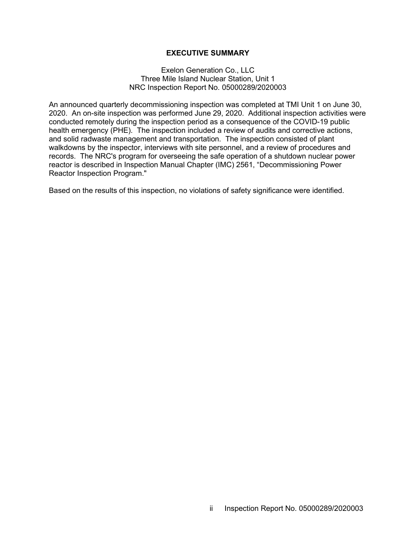#### **EXECUTIVE SUMMARY**

#### Exelon Generation Co., LLC Three Mile Island Nuclear Station, Unit 1 NRC Inspection Report No. 05000289/2020003

An announced quarterly decommissioning inspection was completed at TMI Unit 1 on June 30, 2020. An on-site inspection was performed June 29, 2020. Additional inspection activities were conducted remotely during the inspection period as a consequence of the COVID-19 public health emergency (PHE). The inspection included a review of audits and corrective actions, and solid radwaste management and transportation. The inspection consisted of plant walkdowns by the inspector, interviews with site personnel, and a review of procedures and records. The NRC's program for overseeing the safe operation of a shutdown nuclear power reactor is described in Inspection Manual Chapter (IMC) 2561, "Decommissioning Power Reactor Inspection Program."

Based on the results of this inspection, no violations of safety significance were identified.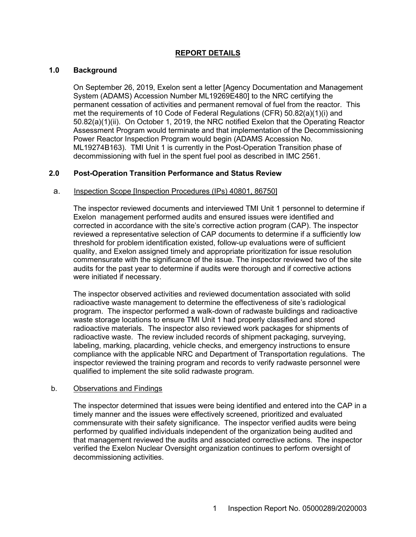## **REPORT DETAILS**

#### **1.0 Background**

On September 26, 2019, Exelon sent a letter [Agency Documentation and Management System (ADAMS) Accession Number ML19269E480] to the NRC certifying the permanent cessation of activities and permanent removal of fuel from the reactor. This met the requirements of 10 Code of Federal Regulations (CFR) 50.82(a)(1)(i) and 50.82(a)(1)(ii). On October 1, 2019, the NRC notified Exelon that the Operating Reactor Assessment Program would terminate and that implementation of the Decommissioning Power Reactor Inspection Program would begin (ADAMS Accession No. ML19274B163). TMI Unit 1 is currently in the Post-Operation Transition phase of decommissioning with fuel in the spent fuel pool as described in IMC 2561.

#### **2.0 Post-Operation Transition Performance and Status Review**

#### a. Inspection Scope [Inspection Procedures (IPs) 40801, 86750]

The inspector reviewed documents and interviewed TMI Unit 1 personnel to determine if Exelon management performed audits and ensured issues were identified and corrected in accordance with the site's corrective action program (CAP). The inspector reviewed a representative selection of CAP documents to determine if a sufficiently low threshold for problem identification existed, follow-up evaluations were of sufficient quality, and Exelon assigned timely and appropriate prioritization for issue resolution commensurate with the significance of the issue. The inspector reviewed two of the site audits for the past year to determine if audits were thorough and if corrective actions were initiated if necessary.

The inspector observed activities and reviewed documentation associated with solid radioactive waste management to determine the effectiveness of site's radiological program. The inspector performed a walk-down of radwaste buildings and radioactive waste storage locations to ensure TMI Unit 1 had properly classified and stored radioactive materials. The inspector also reviewed work packages for shipments of radioactive waste. The review included records of shipment packaging, surveying, labeling, marking, placarding, vehicle checks, and emergency instructions to ensure compliance with the applicable NRC and Department of Transportation regulations. The inspector reviewed the training program and records to verify radwaste personnel were qualified to implement the site solid radwaste program.

#### b. Observations and Findings

The inspector determined that issues were being identified and entered into the CAP in a timely manner and the issues were effectively screened, prioritized and evaluated commensurate with their safety significance. The inspector verified audits were being performed by qualified individuals independent of the organization being audited and that management reviewed the audits and associated corrective actions. The inspector verified the Exelon Nuclear Oversight organization continues to perform oversight of decommissioning activities.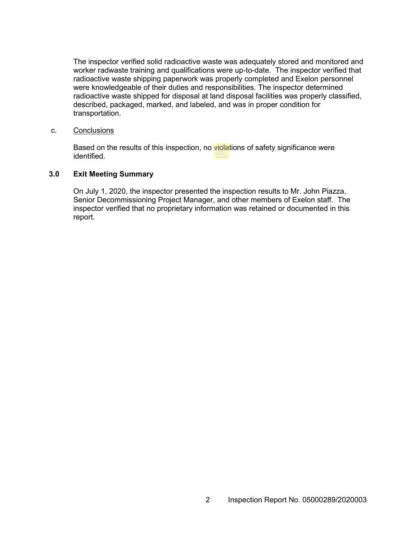The inspector verified solid radioactive waste was adequately stored and monitored and worker radwaste training and qualifications were up-to-date. The inspector verified that radioactive waste shipping paperwork was properly completed and Exelon personnel were knowledgeable of their duties and responsibilities. The inspector determined radioactive waste shipped for disposal at land disposal facilities was properly classified, described, packaged, marked, and labeled, and was in proper condition for transportation.

#### c. Conclusions

Based on the results of this inspection, no violations of safety significance were identified.

#### **3.0 Exit Meeting Summary**

On July 1, 2020, the inspector presented the inspection results to Mr. John Piazza, Senior Decommissioning Project Manager, and other members of Exelon staff. The inspector verified that no proprietary information was retained or documented in this report.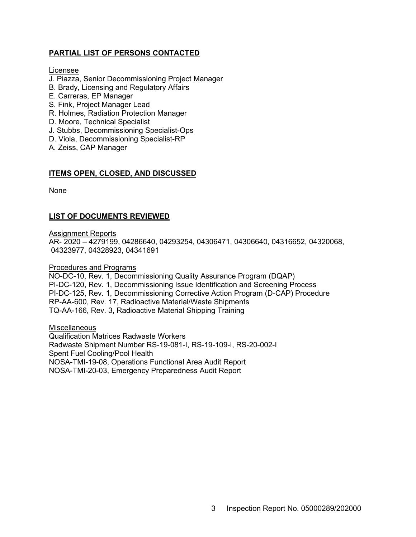## **PARTIAL LIST OF PERSONS CONTACTED**

#### Licensee

- J. Piazza, Senior Decommissioning Project Manager
- B. Brady, Licensing and Regulatory Affairs
- E. Carreras, EP Manager
- S. Fink, Project Manager Lead
- R. Holmes, Radiation Protection Manager
- D. Moore, Technical Specialist
- J. Stubbs, Decommissioning Specialist-Ops
- D. Viola, Decommissioning Specialist-RP
- A. Zeiss, CAP Manager

### **ITEMS OPEN, CLOSED, AND DISCUSSED**

None

## **LIST OF DOCUMENTS REVIEWED**

Assignment Reports

AR- 2020 – 4279199, 04286640, 04293254, 04306471, 04306640, 04316652, 04320068, 04323977, 04328923, 04341691

#### Procedures and Programs

NO-DC-10, Rev. 1, Decommissioning Quality Assurance Program (DQAP) PI-DC-120, Rev. 1, Decommissioning Issue Identification and Screening Process PI-DC-125, Rev. 1, Decommissioning Corrective Action Program (D-CAP) Procedure RP-AA-600, Rev. 17, Radioactive Material/Waste Shipments TQ-AA-166, Rev. 3, Radioactive Material Shipping Training

**Miscellaneous** Qualification Matrices Radwaste Workers Radwaste Shipment Number RS-19-081-I, RS-19-109-I, RS-20-002-I Spent Fuel Cooling/Pool Health NOSA-TMI-19-08, Operations Functional Area Audit Report NOSA-TMI-20-03, Emergency Preparedness Audit Report